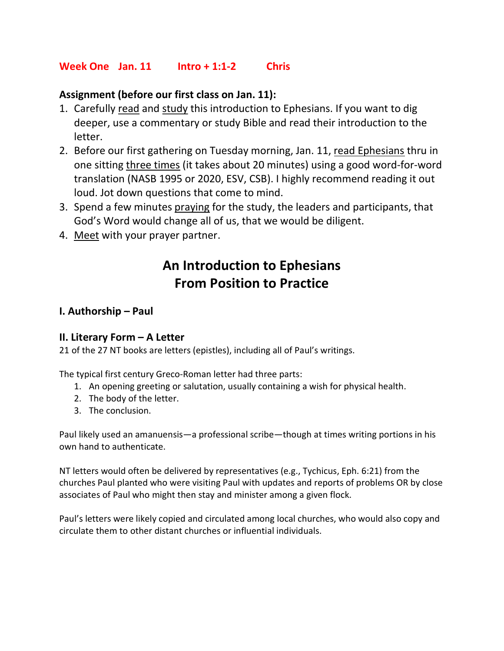## Week One Jan. 11 Intro + 1:1-2 Chris

## Assignment (before our first class on Jan. 11):

- 1. Carefully read and study this introduction to Ephesians. If you want to dig deeper, use a commentary or study Bible and read their introduction to the letter.
- 2. Before our first gathering on Tuesday morning, Jan. 11, read Ephesians thru in one sitting three times (it takes about 20 minutes) using a good word-for-word translation (NASB 1995 or 2020, ESV, CSB). I highly recommend reading it out loud. Jot down questions that come to mind.
- 3. Spend a few minutes praying for the study, the leaders and participants, that God's Word would change all of us, that we would be diligent.
- 4. Meet with your prayer partner.

# An Introduction to Ephesians From Position to Practice

#### I. Authorship – Paul

#### II. Literary Form – A Letter

21 of the 27 NT books are letters (epistles), including all of Paul's writings.

The typical first century Greco-Roman letter had three parts:

- 1. An opening greeting or salutation, usually containing a wish for physical health.
- 2. The body of the letter.
- 3. The conclusion.

Paul likely used an amanuensis—a professional scribe—though at times writing portions in his own hand to authenticate.

NT letters would often be delivered by representatives (e.g., Tychicus, Eph. 6:21) from the churches Paul planted who were visiting Paul with updates and reports of problems OR by close associates of Paul who might then stay and minister among a given flock.

Paul's letters were likely copied and circulated among local churches, who would also copy and circulate them to other distant churches or influential individuals.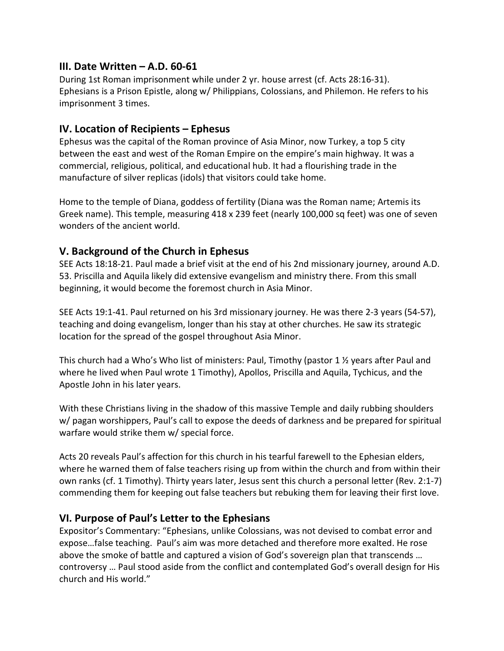## III. Date Written – A.D. 60-61

During 1st Roman imprisonment while under 2 yr. house arrest (cf. Acts 28:16-31). Ephesians is a Prison Epistle, along w/ Philippians, Colossians, and Philemon. He refers to his imprisonment 3 times.

## IV. Location of Recipients – Ephesus

Ephesus was the capital of the Roman province of Asia Minor, now Turkey, a top 5 city between the east and west of the Roman Empire on the empire's main highway. It was a commercial, religious, political, and educational hub. It had a flourishing trade in the manufacture of silver replicas (idols) that visitors could take home.

Home to the temple of Diana, goddess of fertility (Diana was the Roman name; Artemis its Greek name). This temple, measuring 418 x 239 feet (nearly 100,000 sq feet) was one of seven wonders of the ancient world.

# V. Background of the Church in Ephesus

SEE Acts 18:18-21. Paul made a brief visit at the end of his 2nd missionary journey, around A.D. 53. Priscilla and Aquila likely did extensive evangelism and ministry there. From this small beginning, it would become the foremost church in Asia Minor.

SEE Acts 19:1-41. Paul returned on his 3rd missionary journey. He was there 2-3 years (54-57), teaching and doing evangelism, longer than his stay at other churches. He saw its strategic location for the spread of the gospel throughout Asia Minor.

This church had a Who's Who list of ministers: Paul, Timothy (pastor 1 ½ years after Paul and where he lived when Paul wrote 1 Timothy), Apollos, Priscilla and Aquila, Tychicus, and the Apostle John in his later years.

With these Christians living in the shadow of this massive Temple and daily rubbing shoulders w/ pagan worshippers, Paul's call to expose the deeds of darkness and be prepared for spiritual warfare would strike them w/ special force.

Acts 20 reveals Paul's affection for this church in his tearful farewell to the Ephesian elders, where he warned them of false teachers rising up from within the church and from within their own ranks (cf. 1 Timothy). Thirty years later, Jesus sent this church a personal letter (Rev. 2:1-7) commending them for keeping out false teachers but rebuking them for leaving their first love.

# VI. Purpose of Paul's Letter to the Ephesians

Expositor's Commentary: "Ephesians, unlike Colossians, was not devised to combat error and expose…false teaching. Paul's aim was more detached and therefore more exalted. He rose above the smoke of battle and captured a vision of God's sovereign plan that transcends … controversy … Paul stood aside from the conflict and contemplated God's overall design for His church and His world."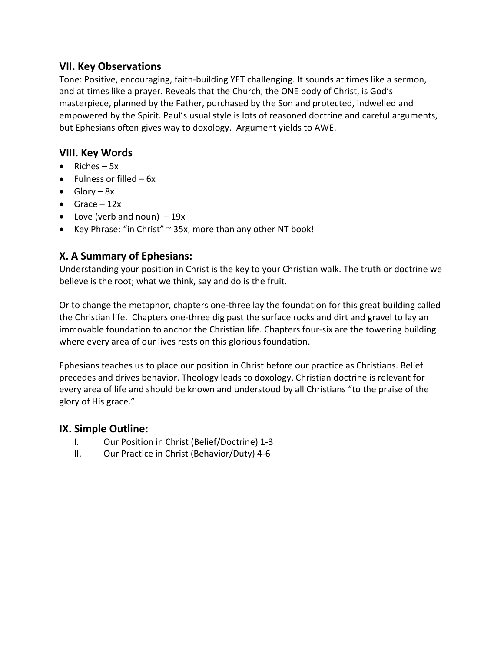#### VII. Key Observations

Tone: Positive, encouraging, faith-building YET challenging. It sounds at times like a sermon, and at times like a prayer. Reveals that the Church, the ONE body of Christ, is God's masterpiece, planned by the Father, purchased by the Son and protected, indwelled and empowered by the Spirit. Paul's usual style is lots of reasoned doctrine and careful arguments, but Ephesians often gives way to doxology. Argument yields to AWE.

# VIII. Key Words

- Riches  $-5x$
- $\bullet$  Fulness or filled 6x
- $\bullet$  Glory 8x
- $\bullet$  Grace 12x
- Love (verb and noun)  $-19x$
- Key Phrase: "in Christ" ~ 35x, more than any other NT book!

# X. A Summary of Ephesians:

Understanding your position in Christ is the key to your Christian walk. The truth or doctrine we believe is the root; what we think, say and do is the fruit.

Or to change the metaphor, chapters one-three lay the foundation for this great building called the Christian life. Chapters one-three dig past the surface rocks and dirt and gravel to lay an immovable foundation to anchor the Christian life. Chapters four-six are the towering building where every area of our lives rests on this glorious foundation.

Ephesians teaches us to place our position in Christ before our practice as Christians. Belief precedes and drives behavior. Theology leads to doxology. Christian doctrine is relevant for every area of life and should be known and understood by all Christians "to the praise of the glory of His grace."

# IX. Simple Outline:

- I. Our Position in Christ (Belief/Doctrine) 1-3
- II. Our Practice in Christ (Behavior/Duty) 4-6